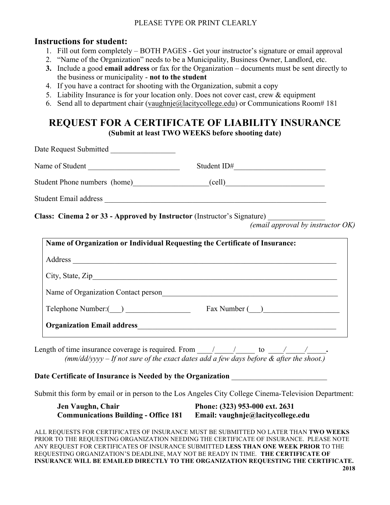## **Instructions for student:**

- 1. Fill out form completely BOTH PAGES Get your instructor's signature or email approval
- 2. "Name of the Organization" needs to be a Municipality, Business Owner, Landlord, etc.
- **3.** Include a good **email address** or fax for the Organization documents must be sent directly to the business or municipality - **not to the student**
- 4. If you have a contract for shooting with the Organization, submit a copy
- 5. Liability Insurance is for your location only. Does not cover cast, crew & equipment
- 6. Send all to department chair (vaughnje@lacitycollege.edu) or Communications Room# 181

## **REQUEST FOR A CERTIFICATE OF LIABILITY INSURANCE (Submit at least TWO WEEKS before shooting date)**

Date Request Submitted \_\_\_\_\_\_\_\_\_\_\_\_\_\_\_\_\_ Name of Student The Contract Contract Contract Contract Contract Contract Contract Contract Contract Contract Contract Contract Contract Contract Contract Contract Contract Contract Contract Contract Contract Contract Cont Student Phone numbers (home) (cell) Student Email address **Exercise 2.2** and 2.2 and 2.2 and 2.2 and 2.2 and 2.2 and 2.2 and 2.2 and 2.2 and 2.2 and 2.2 and 2.2 and 2.2 and 2.2 and 2.2 and 2.2 and 2.2 and 2.2 and 2.2 and 2.2 and 2.2 and 2.2 and 2.2 and 2.2 a

**Class: Cinema 2 or 33 - Approved by Instructor** (Instructor's Signature) \_\_\_\_\_\_\_\_\_\_\_\_\_\_\_

*(email approval by instructor OK)*

|                                     | Name of Organization or Individual Requesting the Certificate of Insurance: |
|-------------------------------------|-----------------------------------------------------------------------------|
|                                     |                                                                             |
|                                     |                                                                             |
| Name of Organization Contact person |                                                                             |
| Telephone Number: ()                | Fax Number ()                                                               |
|                                     |                                                                             |

Length of time insurance coverage is required. From  $\qquad$  /  $\qquad$  to  $\qquad$  /  $\qquad$  /  $\qquad$ *(mm/dd/yyyy – If not sure of the exact dates add a few days before & after the shoot.)*

## **Date Certificate of Insurance is Needed by the Organization**

Submit this form by email or in person to the Los Angeles City College Cinema-Television Department:

| Jen Vaughn, Chair                           | Phone: (323) 953-000 ext. 2631    |
|---------------------------------------------|-----------------------------------|
| <b>Communications Building - Office 181</b> | Email: vaughnje@lacitycollege.edu |

ALL REQUESTS FOR CERTIFICATES OF INSURANCE MUST BE SUBMITTED NO LATER THAN **TWO WEEKS** PRIOR TO THE REQUESTING ORGANIZATION NEEDING THE CERTIFICATE OF INSURANCE. PLEASE NOTE ANY REQUEST FOR CERTIFICATES OF INSURANCE SUBMITTED **LESS THAN ONE WEEK PRIOR** TO THE REQUESTING ORGANIZATION'S DEADLINE, MAY NOT BE READY IN TIME. **THE CERTIFICATE OF INSURANCE WILL BE EMAILED DIRECTLY TO THE ORGANIZATION REQUESTING THE CERTIFICATE.**